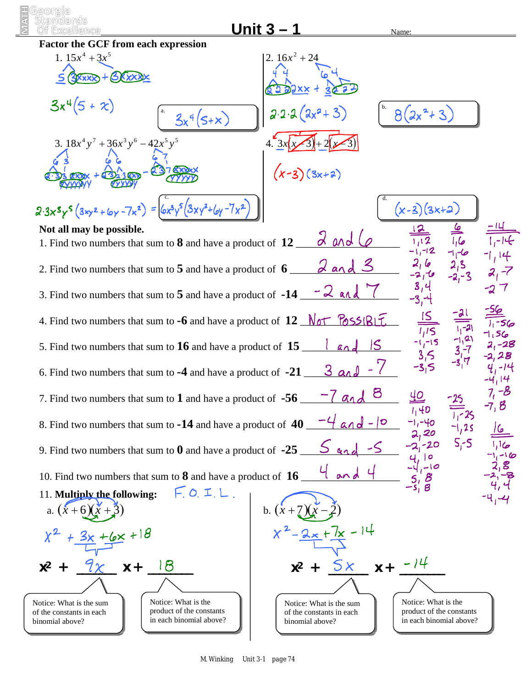| <u> Unit 3 – </u><br>Name:<br><b>Factor the GCF from each expression</b>                                                                                                                                                                   |                                                                                                        |  |  |  |  |
|--------------------------------------------------------------------------------------------------------------------------------------------------------------------------------------------------------------------------------------------|--------------------------------------------------------------------------------------------------------|--|--|--|--|
| 1. $15x^4 + 3x^5$                                                                                                                                                                                                                          | 2. $16x^2 + 24$                                                                                        |  |  |  |  |
| BXXXXX                                                                                                                                                                                                                                     |                                                                                                        |  |  |  |  |
| $3x^4(5+x)$<br>$3x^{4}(5+x)$                                                                                                                                                                                                               | $2.2.2(2x^{2}+3)$<br>$8(2x^2+3)$                                                                       |  |  |  |  |
| 3. $18x^4y^7 + 36x^3y^6 - 42x^5y^5$                                                                                                                                                                                                        | $(x-3)(3x+2)$                                                                                          |  |  |  |  |
|                                                                                                                                                                                                                                            |                                                                                                        |  |  |  |  |
| $2.3x^{5}y^{5}(3xy^{2}+6y-7x^{2}) = 6x^{3}y^{5}(3xy^{2}+6y-7x^{2})$                                                                                                                                                                        | $(x-3)(3x+2)$                                                                                          |  |  |  |  |
| Not all may be possible.<br>1. Find two numbers that sum to $8$ and have a product of $12$                                                                                                                                                 | 2 and 6                                                                                                |  |  |  |  |
| 2. Find two numbers that sum to 5 and have a product of 6 $\alpha$ and 3                                                                                                                                                                   |                                                                                                        |  |  |  |  |
| 3. Find two numbers that sum to 5 and have a product of $-14 - 2$ and                                                                                                                                                                      |                                                                                                        |  |  |  |  |
| 4. Find two numbers that sum to $-6$ and have a product of $12 \sqrt{65}$ $\sqrt{65}$ $\sqrt{817}$ .                                                                                                                                       |                                                                                                        |  |  |  |  |
| 5. Find two numbers that sum to $16$ and have a product of $15$ ____<br>land                                                                                                                                                               |                                                                                                        |  |  |  |  |
|                                                                                                                                                                                                                                            |                                                                                                        |  |  |  |  |
| 7, –8<br>8<br>40<br>$-1$ and<br>7. Find two numbers that sum to $1$ and have a product of $-56$                                                                                                                                            |                                                                                                        |  |  |  |  |
| 8. Find two numbers that sum to -14 and have a product of $40 - 4$ and $-10$                                                                                                                                                               |                                                                                                        |  |  |  |  |
| $-20$<br>9. Find two numbers that sum to 0 and have a product of $-25$ <u><math>\leq</math> <math>\leq</math> <math>\leq</math></u><br>2, 2, 3, 6<br>$2\begin{vmatrix} 1 & 10 \\ -1 & -10 \\ 5 & 8 \\ -5 & 8 \end{vmatrix}$<br>$4$ and $4$ |                                                                                                        |  |  |  |  |
| 10. Find two numbers that sum to $8$ and have a product of $16$ ____                                                                                                                                                                       |                                                                                                        |  |  |  |  |
| F. O. I.L.<br>11. Multiply the following:                                                                                                                                                                                                  |                                                                                                        |  |  |  |  |
| a. $(x+6)(x+$                                                                                                                                                                                                                              | b. $(x +$                                                                                              |  |  |  |  |
| $+6x + 18$                                                                                                                                                                                                                                 |                                                                                                        |  |  |  |  |
| $x + 18$<br>$x^2$                                                                                                                                                                                                                          | 5x<br>$x +$<br>$x^2$ +                                                                                 |  |  |  |  |
| Notice: What is the<br>Notice: What is the sum<br>product of the constants<br>of the constants in each                                                                                                                                     | Notice: What is the<br>Notice: What is the sum<br>product of the constants<br>of the constants in each |  |  |  |  |
| in each binomial above?<br>binomial above?                                                                                                                                                                                                 | in each binomial above?<br>binomial above?                                                             |  |  |  |  |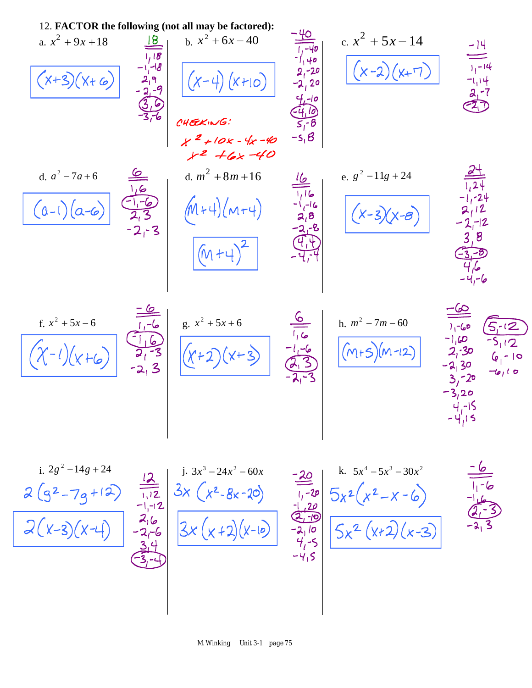12. FACTOR the following (not all may be factored):  
\na. 
$$
x^2 + 9x + 18
$$
  
\n $x^2 + 6x + 40$   
\n $x^2 + 6x - 40$   
\n $x^2 + 6x - 40$   
\n $x^2 + 2x - 40$   
\n $x^2 + 2x - 40$   
\n $x^2 + 2x - 40$   
\n $x^2 + 2x - 40$   
\n $x^2 + 2x - 40$   
\n $x^2 + 2x - 40$   
\n $x^2 + 2x - 40$   
\n $x^2 + 2x - 40$   
\n $x^2 + 2x - 40$   
\n $x^2 + 2x - 40$   
\n $x^2 + 2x - 40$   
\n $x^2 + 2x - 40$   
\n $x^2 + 2x - 40$   
\n $x^2 + 2x - 40$   
\n $x^2 + 2x - 40$   
\n $x^2 + 2x - 40$   
\n $x^2 + 2x - 40$   
\n $x^2 + 2x - 40$   
\n $x^2 + 2x - 40$   
\n $x^2 + 2x - 40$   
\n $x^2 + 2x - 40$   
\n $x^2 + 2x - 40$   
\n $x^2 + 2x - 40$   
\n $x^2 + 2x - 40$   
\n $x^2 + 2x - 40$   
\n $x^2 + 2x - 40$   
\n $x^2 + 2x - 40$   
\n $x^2 + 2x - 40$   
\n $x^2 + 2x - 40$   
\n $x^2 + 2x - 40$   
\n $x^2 + 2x - 40$   
\n $x^2 + 2x - 40$   
\n $x^2 + 2x - 40$   
\n $x^2 + 2x - 40$   
\n $x^2 + 2x - 40$   
\n $x^$ 

 $-6/6$ 

$$
\frac{2(9^{2}-79+12)}{2(x-3)(x-4)} = \frac{212}{-11-12} = 3x(x^{2}-8x-20)
$$
  
\n
$$
\frac{216}{-21-6} = 3x(x+2)(x-10)
$$
  
\n
$$
\frac{314}{-31-4}
$$
  
\n
$$
\frac{34}{-41-5}
$$
  
\n
$$
\frac{34}{-41-5}
$$
  
\n
$$
\frac{34}{-41-5}
$$
  
\n
$$
\frac{34}{-41-5}
$$

i.  $2g^2 - 14g + 24$  <br> *g*  $\overline{) \cdot 3x^3 - 24x^2 - 60x}$  <br> **g**  $\overline{) \cdot 5x^4 - 5x^3 - 30x^2}$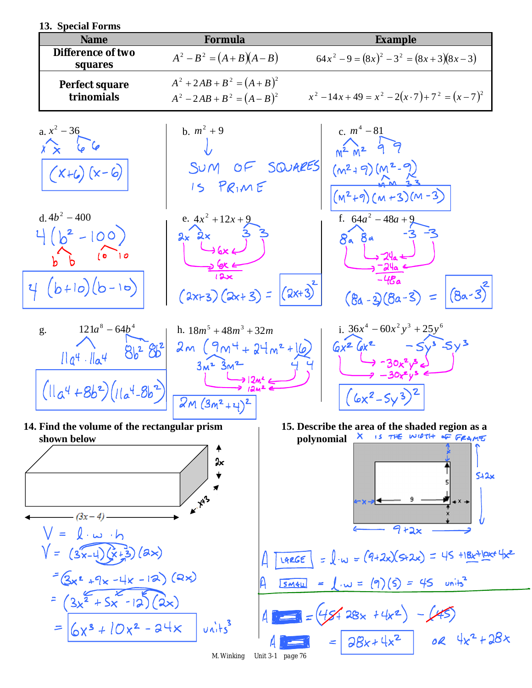| 13. Special Forms |  |
|-------------------|--|
|                   |  |

| <b>Name</b>                                                                                | Formula                                                                          | <b>Example</b>                                                                                                    |
|--------------------------------------------------------------------------------------------|----------------------------------------------------------------------------------|-------------------------------------------------------------------------------------------------------------------|
| <b>Difference of two</b><br>squares                                                        | $A^{2}-B^{2} = (A+B)(A-B)$                                                       | $64x^{2}-9 = (8x)^{2} -3^{2} = (8x+3)(8x-3)$                                                                      |
| Perfect square<br>trinomials                                                               | $A^{2} + 2AB + B^{2} = (A + B)^{2}$<br>$A^{2} - 2AB + B^{2} = (A - B)^{2}$       | $x^{2}-14x+49=x^{2}-2(x\cdot 7)+7^{2}=(x-7)^{2}$                                                                  |
| a. $x^2 - 36$<br>$\hat{x} \times 66$<br>$(X+6)(x-6)$                                       | b. $m^2 + 9$<br>SUM OF SQUARES<br>$15$ PRIME                                     | c. $m^4 - 81$<br>$M^{2}M^{2}47$<br>$(m^2 + 9)(M^2 - 9)$<br>$(M^2+9)(M+3)(M-3)$                                    |
| d. $4b^2 - 400$<br>$4(b^2-100)$<br>$(0)$ $ 0$<br>$4(b+10)(b-10)$                           | e. $4x^2 + 12x + 9$<br>$2x$ $2x$<br>$(2x+3)(2x+3) =  (2x+3)^{2} $                | f. $64a^2 - 48a + 9$<br>$8a$ $8a$<br>-48a<br>$(8a-3)(8a-3) =  (8a-3) $                                            |
| $121a^8 - 64b^4$<br>g.<br>$8b^2$ $8b^2$<br>$I1a4 \cdot I1a4$<br>$(11a^4+8b^2)(11a^4-8b^2)$ | h. $18m^5 + 48m^3 + 32m$<br>$2m(9m+24m^{2}+16)$<br>$3m2$ $3m2$<br>$2M(3m^2+4)^2$ | i. $36x^4 - 60x^2y^3 + 25y^6$<br>$-5v^3-5y^3$<br>$6x^2$ $6x^2$                                                    |
| 14. Find the volume of the rectangular prism<br>shown below<br>$l \cdot \omega \cdot h$    | Jх<br>$\kappa^{\gamma}$                                                          | 15. Describe the area of the shaded region as a<br>X IS THE WIDTH OF FRAME<br>polynomial<br>542x<br>$9 + 2x$      |
| $V = (3x-4)(x+3)(ax)$<br>$=(2x^2+9x-1x-12)(2x)$                                            |                                                                                  | = $\int_{x}$ w = $(9+2x)(5+2x)$ = 45 +18x+10x+4x2<br>LARGE<br>= $\int w = (9)(5) = 45$ units <sup>2</sup><br>SM4u |
| $(3x^{2}+5x-12)(2x)$<br>= $6x^3 + 10x^2 - 24x$ vits                                        | M. Winking                                                                       | $4 = (45428x + 4x^2) - (45)$<br>4 = $28x + 4x^2$ 02 $4x^2 + 28x$<br>Unit 3-1 page 76                              |